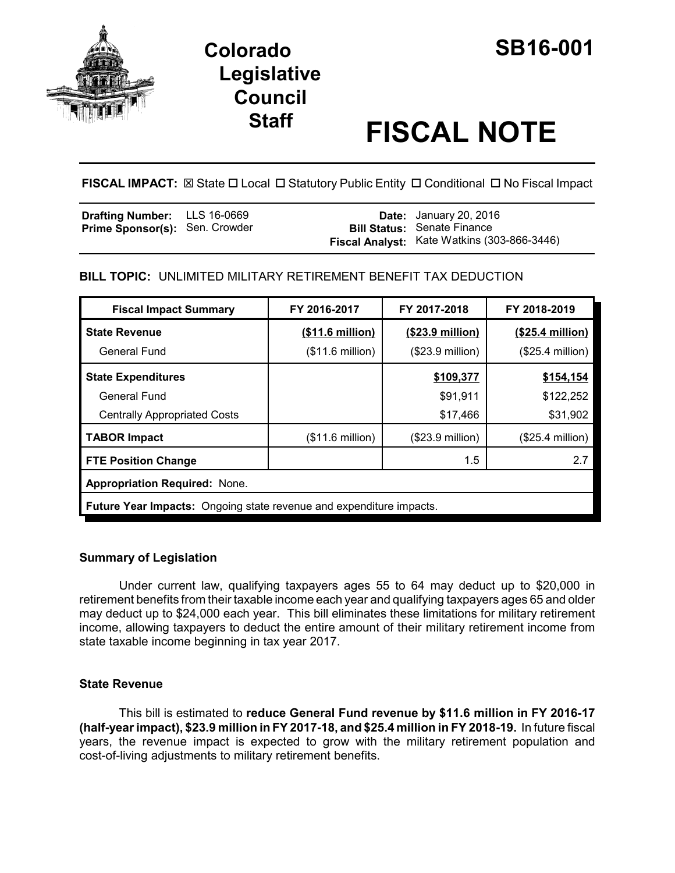

# **Colorado SB16-001 Legislative Council**

# **Staff FISCAL NOTE**

**FISCAL IMPACT:** ⊠ State □ Local □ Statutory Public Entity □ Conditional □ No Fiscal Impact

| <b>Drafting Number:</b> LLS 16-0669   |  | <b>Date:</b> January 20, 2016               |
|---------------------------------------|--|---------------------------------------------|
| <b>Prime Sponsor(s): Sen. Crowder</b> |  | <b>Bill Status: Senate Finance</b>          |
|                                       |  | Fiscal Analyst: Kate Watkins (303-866-3446) |

## **BILL TOPIC:** UNLIMITED MILITARY RETIREMENT BENEFIT TAX DEDUCTION

| <b>Fiscal Impact Summary</b>                                               | FY 2016-2017              | FY 2017-2018              | FY 2018-2019      |
|----------------------------------------------------------------------------|---------------------------|---------------------------|-------------------|
| <b>State Revenue</b>                                                       | (\$11.6 million)          | $($23.9 \text{ million})$ | $($25.4$ million) |
| General Fund                                                               | $($11.6 \text{ million})$ | $($23.9$ million)         | (\$25.4 million)  |
| <b>State Expenditures</b>                                                  |                           | \$109,377                 | \$154,154         |
| General Fund                                                               |                           | \$91,911                  | \$122,252         |
| <b>Centrally Appropriated Costs</b>                                        |                           | \$17,466                  | \$31,902          |
| <b>TABOR Impact</b>                                                        | $($11.6 \text{ million})$ | $($23.9$ million)         | (\$25.4 million)  |
| <b>FTE Position Change</b>                                                 |                           | $1.5\,$                   | 2.7               |
| <b>Appropriation Required: None.</b>                                       |                           |                           |                   |
| <b>Future Year Impacts:</b> Ongoing state revenue and expenditure impacts. |                           |                           |                   |

### **Summary of Legislation**

Under current law, qualifying taxpayers ages 55 to 64 may deduct up to \$20,000 in retirement benefits from their taxable income each year and qualifying taxpayers ages 65 and older may deduct up to \$24,000 each year. This bill eliminates these limitations for military retirement income, allowing taxpayers to deduct the entire amount of their military retirement income from state taxable income beginning in tax year 2017.

### **State Revenue**

This bill is estimated to **reduce General Fund revenue by \$11.6 million in FY 2016-17 (half-year impact), \$23.9 million in FY 2017-18, and \$25.4 million in FY 2018-19.** In future fiscal years, the revenue impact is expected to grow with the military retirement population and cost-of-living adjustments to military retirement benefits.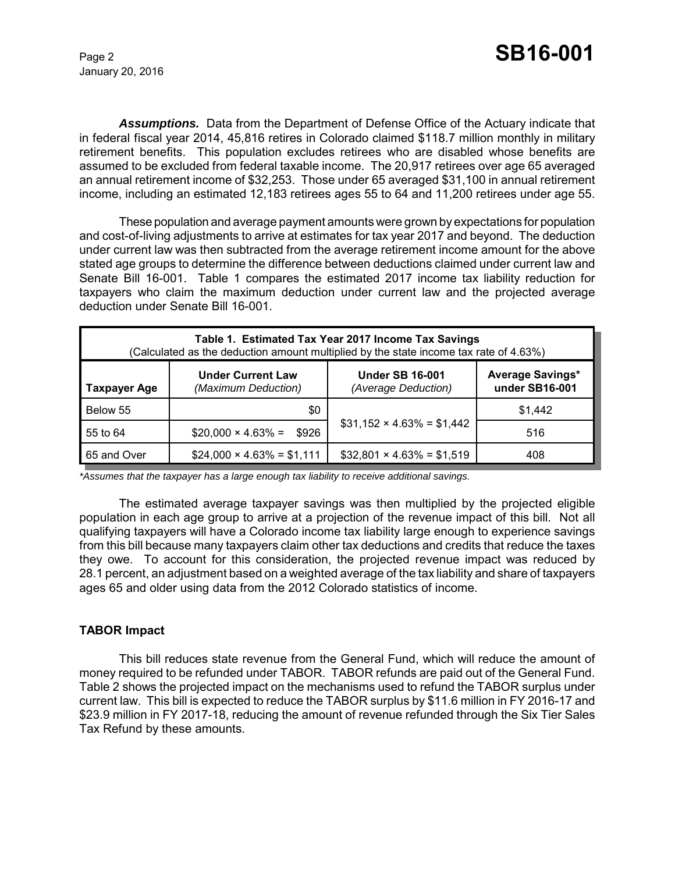January 20, 2016

*Assumptions.* Data from the Department of Defense Office of the Actuary indicate that in federal fiscal year 2014, 45,816 retires in Colorado claimed \$118.7 million monthly in military retirement benefits. This population excludes retirees who are disabled whose benefits are assumed to be excluded from federal taxable income. The 20,917 retirees over age 65 averaged an annual retirement income of \$32,253. Those under 65 averaged \$31,100 in annual retirement income, including an estimated 12,183 retirees ages 55 to 64 and 11,200 retirees under age 55.

These population and average payment amounts were grown by expectations for population and cost-of-living adjustments to arrive at estimates for tax year 2017 and beyond. The deduction under current law was then subtracted from the average retirement income amount for the above stated age groups to determine the difference between deductions claimed under current law and Senate Bill 16-001. Table 1 compares the estimated 2017 income tax liability reduction for taxpayers who claim the maximum deduction under current law and the projected average deduction under Senate Bill 16-001.

| Table 1. Estimated Tax Year 2017 Income Tax Savings<br>(Calculated as the deduction amount multiplied by the state income tax rate of 4.63%) |                                                 |                                               |                                           |  |
|----------------------------------------------------------------------------------------------------------------------------------------------|-------------------------------------------------|-----------------------------------------------|-------------------------------------------|--|
| <b>Taxpayer Age</b>                                                                                                                          | <b>Under Current Law</b><br>(Maximum Deduction) | <b>Under SB 16-001</b><br>(Average Deduction) | <b>Average Savings*</b><br>under SB16-001 |  |
| Below 55                                                                                                                                     | \$0                                             |                                               | \$1,442                                   |  |
| 55 to 64                                                                                                                                     | $$20,000 \times 4.63\% =$<br>\$926              | $$31,152 \times 4.63\% = $1,442$              | 516                                       |  |
| 65 and Over                                                                                                                                  | $$24,000 \times 4.63\% = $1,111$                | $$32,801 \times 4.63\% = $1,519$              | 408                                       |  |

*\*Assumes that the taxpayer has a large enough tax liability to receive additional savings.*

The estimated average taxpayer savings was then multiplied by the projected eligible population in each age group to arrive at a projection of the revenue impact of this bill. Not all qualifying taxpayers will have a Colorado income tax liability large enough to experience savings from this bill because many taxpayers claim other tax deductions and credits that reduce the taxes they owe. To account for this consideration, the projected revenue impact was reduced by 28.1 percent, an adjustment based on a weighted average of the tax liability and share of taxpayers ages 65 and older using data from the 2012 Colorado statistics of income.

### **TABOR Impact**

This bill reduces state revenue from the General Fund, which will reduce the amount of money required to be refunded under TABOR. TABOR refunds are paid out of the General Fund. Table 2 shows the projected impact on the mechanisms used to refund the TABOR surplus under current law. This bill is expected to reduce the TABOR surplus by \$11.6 million in FY 2016-17 and \$23.9 million in FY 2017-18, reducing the amount of revenue refunded through the Six Tier Sales Tax Refund by these amounts.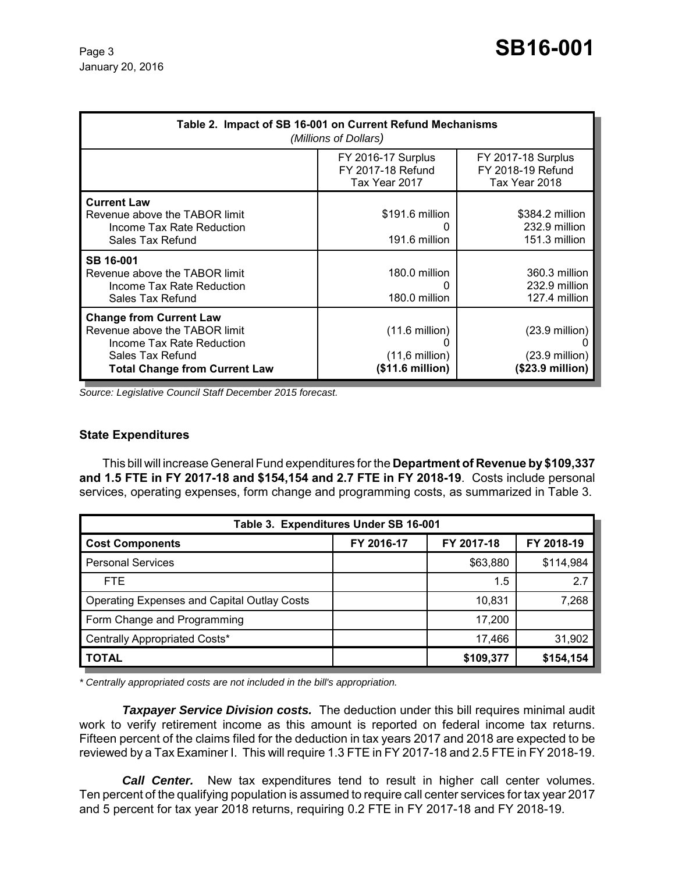| Table 2. Impact of SB 16-001 on Current Refund Mechanisms<br>(Millions of Dollars)                                                                       |                                                                          |                                                                                  |  |
|----------------------------------------------------------------------------------------------------------------------------------------------------------|--------------------------------------------------------------------------|----------------------------------------------------------------------------------|--|
|                                                                                                                                                          | <b>FY 2016-17 Surplus</b><br>FY 2017-18 Refund<br>Tax Year 2017          | <b>FY 2017-18 Surplus</b><br>FY 2018-19 Refund<br>Tax Year 2018                  |  |
| <b>Current Law</b><br>Revenue above the TABOR limit<br>Income Tax Rate Reduction<br>Sales Tax Refund                                                     | $$191.6$ million<br>191.6 million                                        | \$384.2 million<br>232.9 million<br>151.3 million                                |  |
| SB 16-001<br>Revenue above the TABOR limit<br>Income Tax Rate Reduction<br>Sales Tax Refund                                                              | 180.0 million<br>O<br>180.0 million                                      | 360.3 million<br>232.9 million<br>127.4 million                                  |  |
| <b>Change from Current Law</b><br>Revenue above the TABOR limit<br>Income Tax Rate Reduction<br>Sales Tax Refund<br><b>Total Change from Current Law</b> | $(11.6 \text{ million})$<br>$(11,6 \text{ million})$<br>(\$11.6 million) | $(23.9 \text{ million})$<br>$(23.9 \text{ million})$<br>$($23.9\text{ million})$ |  |

*Source: Legislative Council Staff December 2015 forecast.*

#### **State Expenditures**

This bill will increase General Fund expenditures for the **Department of Revenue by \$109,337 and 1.5 FTE in FY 2017-18 and \$154,154 and 2.7 FTE in FY 2018-19**. Costs include personal services, operating expenses, form change and programming costs, as summarized in Table 3.

| Table 3. Expenditures Under SB 16-001       |            |            |            |
|---------------------------------------------|------------|------------|------------|
| <b>Cost Components</b>                      | FY 2016-17 | FY 2017-18 | FY 2018-19 |
| <b>Personal Services</b>                    |            | \$63,880   | \$114,984  |
| FTE.                                        |            | 1.5        | 2.7        |
| Operating Expenses and Capital Outlay Costs |            | 10,831     | 7,268      |
| Form Change and Programming                 |            | 17,200     |            |
| Centrally Appropriated Costs*               |            | 17,466     | 31,902     |
| <b>TOTAL</b>                                |            | \$109,377  | \$154,154  |

*\* Centrally appropriated costs are not included in the bill's appropriation.*

*Taxpayer Service Division costs.* The deduction under this bill requires minimal audit work to verify retirement income as this amount is reported on federal income tax returns. Fifteen percent of the claims filed for the deduction in tax years 2017 and 2018 are expected to be reviewed by a Tax Examiner I. This will require 1.3 FTE in FY 2017-18 and 2.5 FTE in FY 2018-19.

*Call Center.* New tax expenditures tend to result in higher call center volumes. Ten percent of the qualifying population is assumed to require call center services for tax year 2017 and 5 percent for tax year 2018 returns, requiring 0.2 FTE in FY 2017-18 and FY 2018-19.